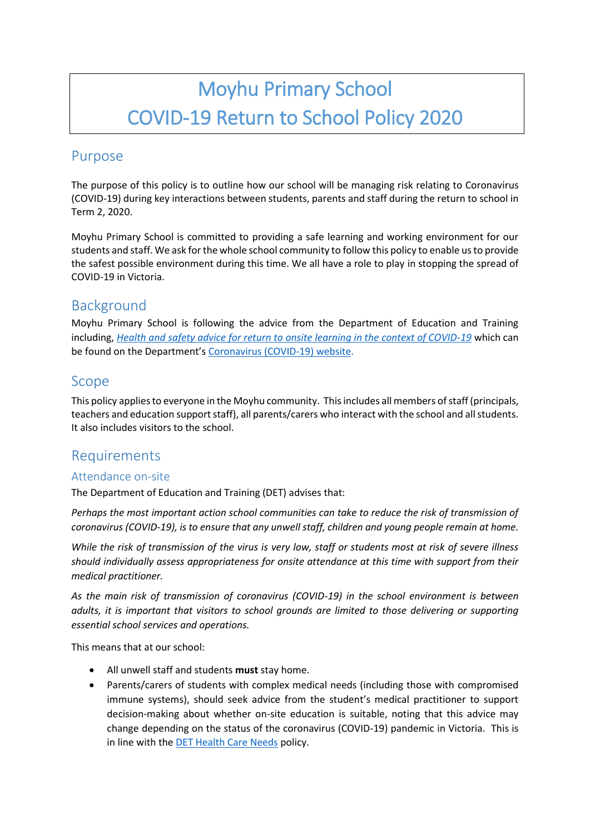# Moyhu Primary School COVID-19 Return to School Policy 2020

## Purpose

The purpose of this policy is to outline how our school will be managing risk relating to Coronavirus (COVID-19) during key interactions between students, parents and staff during the return to school in Term 2, 2020.

Moyhu Primary School is committed to providing a safe learning and working environment for our students and staff. We ask for the whole school community to follow this policy to enable us to provide the safest possible environment during this time. We all have a role to play in stopping the spread of COVID-19 in Victoria.

# Background

Moyhu Primary School is following the advice from the Department of Education and Training including, *[Health and safety advice for return to onsite learning in the context of COVID-19](https://www.education.vic.gov.au/Documents/about/department/covid-19/health-and-safety-advice-return-school.pdf)* which can be found on the Department's [Coronavirus \(COVID-19\) website.](file:///C:/Users/08429711/Desktop/SPTP/•%09https:/www.education.vic.gov.au/school/Pages/coronavirus-advice-schools.aspx)

## Scope

This policy appliesto everyone in the Moyhu community. This includes all members of staff (principals, teachers and education support staff), all parents/carers who interact with the school and all students. It also includes visitors to the school.

## Requirements

#### Attendance on-site

The Department of Education and Training (DET) advises that:

*Perhaps the most important action school communities can take to reduce the risk of transmission of coronavirus (COVID-19), is to ensure that any unwell staff, children and young people remain at home.* 

*While the risk of transmission of the virus is very low, staff or students most at risk of severe illness should individually assess appropriateness for onsite attendance at this time with support from their medical practitioner.*

*As the main risk of transmission of coronavirus (COVID-19) in the school environment is between adults, it is important that visitors to school grounds are limited to those delivering or supporting essential school services and operations.*

This means that at our school:

- All unwell staff and students **must** stay home.
- Parents/carers of students with complex medical needs (including those with compromised immune systems), should seek advice from the student's medical practitioner to support decision-making about whether on-site education is suitable, noting that this advice may change depending on the status of the coronavirus (COVID-19) pandemic in Victoria. This is in line with the [DET Health Care Needs](https://www.education.vic.gov.au/school/principals/spag/health/Pages/healthcareneeds.aspx) policy.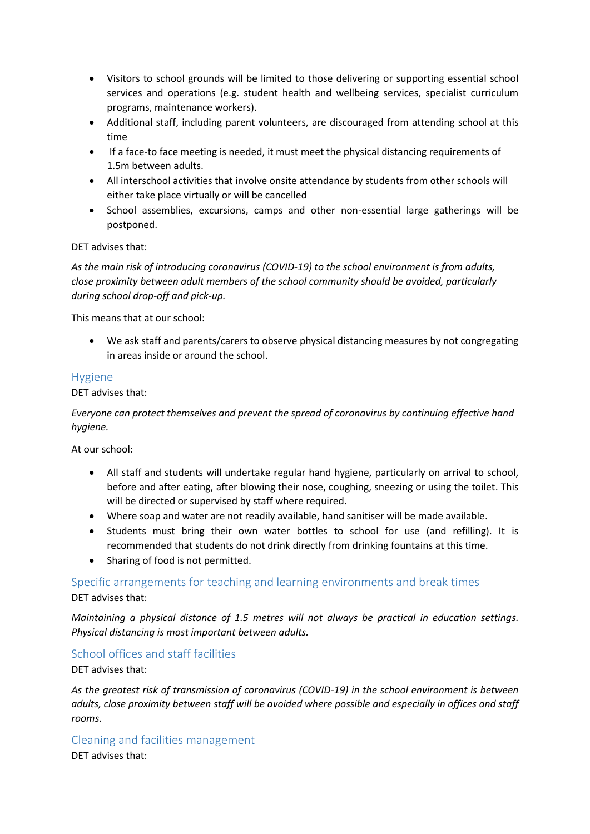- Visitors to school grounds will be limited to those delivering or supporting essential school services and operations (e.g. student health and wellbeing services, specialist curriculum programs, maintenance workers).
- Additional staff, including parent volunteers, are discouraged from attending school at this time
- If a face-to face meeting is needed, it must meet the physical distancing requirements of 1.5m between adults.
- All interschool activities that involve onsite attendance by students from other schools will either take place virtually or will be cancelled
- School assemblies, excursions, camps and other non-essential large gatherings will be postponed.

#### DET advises that:

*As the main risk of introducing coronavirus (COVID-19) to the school environment is from adults, close proximity between adult members of the school community should be avoided, particularly during school drop-off and pick-up.*

This means that at our school:

 We ask staff and parents/carers to observe physical distancing measures by not congregating in areas inside or around the school.

#### Hygiene

DET advises that:

*Everyone can protect themselves and prevent the spread of coronavirus by continuing effective hand hygiene.* 

At our school:

- All staff and students will undertake regular hand hygiene, particularly on arrival to school, before and after eating, after blowing their nose, coughing, sneezing or using the toilet. This will be directed or supervised by staff where required.
- Where soap and water are not readily available, hand sanitiser will be made available.
- Students must bring their own water bottles to school for use (and refilling). It is recommended that students do not drink directly from drinking fountains at this time.
- Sharing of food is not permitted.

Specific arrangements for teaching and learning environments and break times DET advises that:

*Maintaining a physical distance of 1.5 metres will not always be practical in education settings. Physical distancing is most important between adults.*

School offices and staff facilities

DET advises that:

*As the greatest risk of transmission of coronavirus (COVID-19) in the school environment is between adults, close proximity between staff will be avoided where possible and especially in offices and staff rooms.*

Cleaning and facilities management

DET advises that: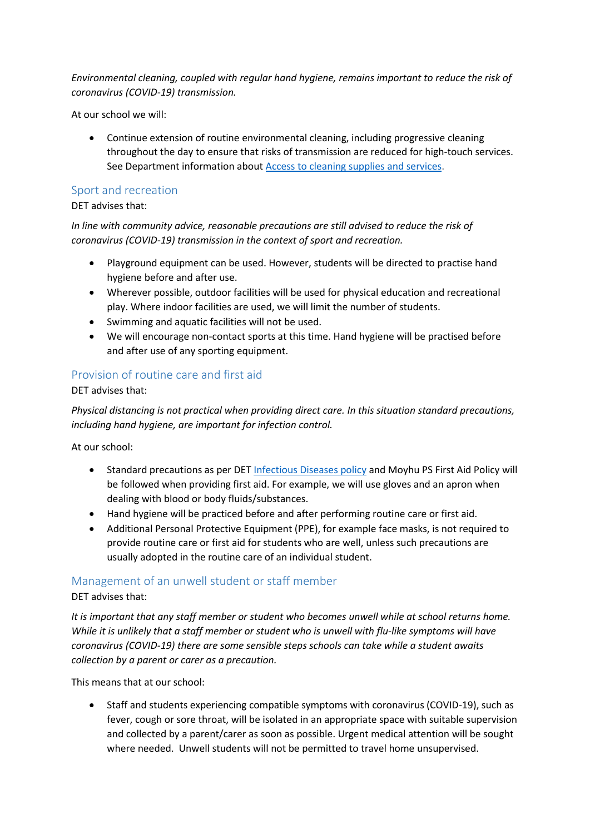*Environmental cleaning, coupled with regular hand hygiene, remains important to reduce the risk of coronavirus (COVID-19) transmission.*

At our school we will:

 Continue extension of routine environmental cleaning, including progressive cleaning throughout the day to ensure that risks of transmission are reduced for high-touch services. See Department information about [Access to cleaning supplies and services.](https://www.education.vic.gov.au/school/teachers/management/infrastructure/Pages/cleaningsupplies.aspx)

#### Sport and recreation

#### DET advises that:

*In line with community advice, reasonable precautions are still advised to reduce the risk of coronavirus (COVID-19) transmission in the context of sport and recreation.*

- Playground equipment can be used. However, students will be directed to practise hand hygiene before and after use.
- Wherever possible, outdoor facilities will be used for physical education and recreational play. Where indoor facilities are used, we will limit the number of students.
- Swimming and aquatic facilities will not be used.
- We will encourage non-contact sports at this time. Hand hygiene will be practised before and after use of any sporting equipment.

## Provision of routine care and first aid

DET advises that:

*Physical distancing is not practical when providing direct care. In this situation standard precautions, including hand hygiene, are important for infection control.*

At our school:

- Standard precautions as per DET [Infectious Diseases](https://www.education.vic.gov.au/school/principals/spag/health/pages/infectiousdiseases.aspx) policy and Moyhu PS First Aid Policy will be followed when providing first aid. For example, we will use gloves and an apron when dealing with blood or body fluids/substances.
- Hand hygiene will be practiced before and after performing routine care or first aid.
- Additional Personal Protective Equipment (PPE), for example face masks, is not required to provide routine care or first aid for students who are well, unless such precautions are usually adopted in the routine care of an individual student.

#### Management of an unwell student or staff member

DET advises that:

*It is important that any staff member or student who becomes unwell while at school returns home. While it is unlikely that a staff member or student who is unwell with flu-like symptoms will have coronavirus (COVID-19) there are some sensible steps schools can take while a student awaits collection by a parent or carer as a precaution.*

This means that at our school:

• Staff and students experiencing compatible symptoms with coronavirus (COVID-19), such as fever, cough or sore throat, will be isolated in an appropriate space with suitable supervision and collected by a parent/carer as soon as possible. Urgent medical attention will be sought where needed. Unwell students will not be permitted to travel home unsupervised.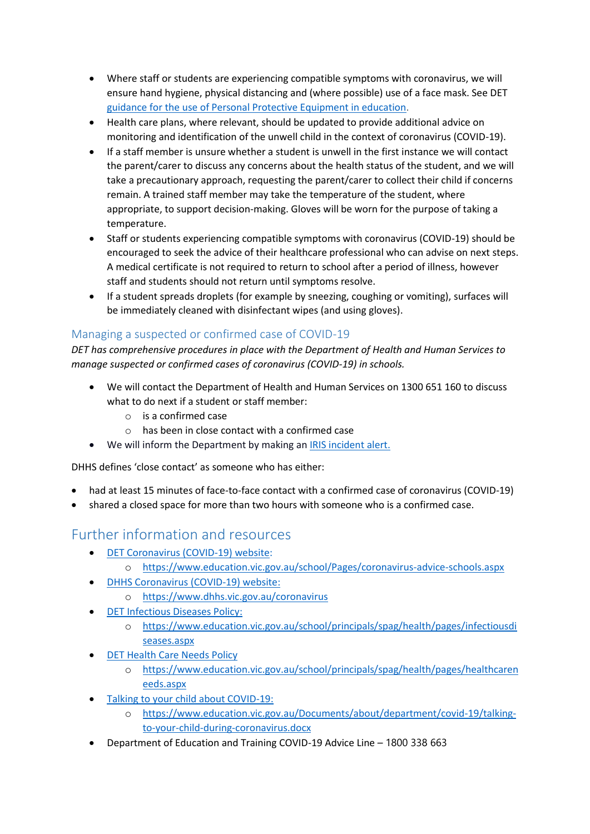- Where staff or students are experiencing compatible symptoms with coronavirus, we will ensure hand hygiene, physical distancing and (where possible) use of a face mask. See DET [guidance for the use of Personal Protective Equipment in education.](https://edugate.eduweb.vic.gov.au/sites/i/_layouts/15/WopiFrame.aspx?sourcedoc=/sites/i/Shared%20Documents/Guidance-for-the-use-of-PPE-in-education-settings.docx&action=default)
- Health care plans, where relevant, should be updated to provide additional advice on monitoring and identification of the unwell child in the context of coronavirus (COVID-19).
- If a staff member is unsure whether a student is unwell in the first instance we will contact the parent/carer to discuss any concerns about the health status of the student, and we will take a precautionary approach, requesting the parent/carer to collect their child if concerns remain. A trained staff member may take the temperature of the student, where appropriate, to support decision-making. Gloves will be worn for the purpose of taking a temperature.
- Staff or students experiencing compatible symptoms with coronavirus (COVID-19) should be encouraged to seek the advice of their healthcare professional who can advise on next steps. A medical certificate is not required to return to school after a period of illness, however staff and students should not return until symptoms resolve.
- If a student spreads droplets (for example by sneezing, coughing or vomiting), surfaces will be immediately cleaned with disinfectant wipes (and using gloves).

## Managing a suspected or confirmed case of COVID-19

*DET has comprehensive procedures in place with the Department of Health and Human Services to manage suspected or confirmed cases of coronavirus (COVID-19) in schools.*

- We will contact the Department of Health and Human Services on 1300 651 160 to discuss what to do next if a student or staff member:
	- o is a confirmed case
	- o has been in close contact with a confirmed case
- We will inform the Department by making a[n IRIS incident alert.](https://www.eduweb.vic.gov.au/iris/ctrESMMain.asp)

DHHS defines 'close contact' as someone who has either:

- had at least 15 minutes of face-to-face contact with a confirmed case of coronavirus (COVID-19)
- shared a closed space for more than two hours with someone who is a confirmed case.

## Further information and resources

- [DET Coronavirus \(COVID-19\) website:](https://education.vic.gov.au/about/department/Pages/coronavirus.aspx)
	- o <https://www.education.vic.gov.au/school/Pages/coronavirus-advice-schools.aspx>
- [DHHS Coronavirus \(COVID-19\) website:](https://www.dhhs.vic.gov.au/coronavirus)
	- o <https://www.dhhs.vic.gov.au/coronavirus>
- **•** [DET Infectious Diseases Policy:](https://www.education.vic.gov.au/school/principals/spag/health/pages/infectiousdiseases.aspx)
	- o [https://www.education.vic.gov.au/school/principals/spag/health/pages/infectiousdi](https://www.education.vic.gov.au/school/principals/spag/health/pages/infectiousdiseases.aspx) [seases.aspx](https://www.education.vic.gov.au/school/principals/spag/health/pages/infectiousdiseases.aspx)
- **[DET Health Care Needs Policy](https://www.education.vic.gov.au/school/principals/spag/health/pages/healthcareneeds.aspx)** 
	- o [https://www.education.vic.gov.au/school/principals/spag/health/pages/healthcaren](https://www.education.vic.gov.au/school/principals/spag/health/pages/healthcareneeds.aspx) [eeds.aspx](https://www.education.vic.gov.au/school/principals/spag/health/pages/healthcareneeds.aspx)
- [Talking to your child about COVID-19:](https://www.education.vic.gov.au/Documents/about/department/covid-19/talking-to-your-child-during-coronavirus.docx)
	- o [https://www.education.vic.gov.au/Documents/about/department/covid-19/talking](https://www.education.vic.gov.au/Documents/about/department/covid-19/talking-to-your-child-during-coronavirus.docx)[to-your-child-during-coronavirus.docx](https://www.education.vic.gov.au/Documents/about/department/covid-19/talking-to-your-child-during-coronavirus.docx)
- Department of Education and Training COVID-19 Advice Line 1800 338 663